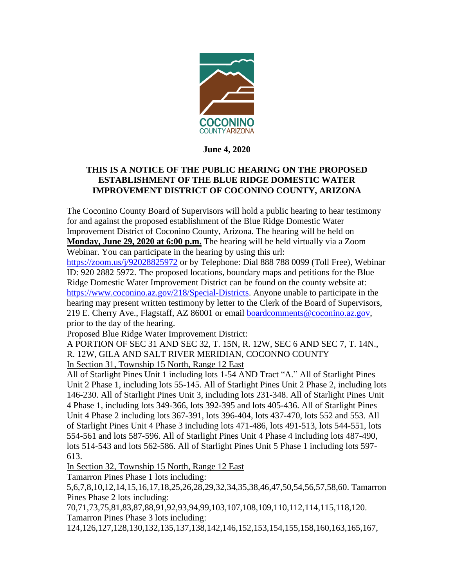

**June 4, 2020**

## **THIS IS A NOTICE OF THE PUBLIC HEARING ON THE PROPOSED ESTABLISHMENT OF THE BLUE RIDGE DOMESTIC WATER IMPROVEMENT DISTRICT OF COCONINO COUNTY, ARIZONA**

The Coconino County Board of Supervisors will hold a public hearing to hear testimony for and against the proposed establishment of the Blue Ridge Domestic Water Improvement District of Coconino County, Arizona. The hearing will be held on **Monday, June 29, 2020 at 6:00 p.m.** The hearing will be held virtually via a Zoom Webinar. You can participate in the hearing by using this url:

<https://zoom.us/j/92028825972> or by Telephone: Dial 888 788 0099 (Toll Free), Webinar ID: 920 2882 5972. The proposed locations, boundary maps and petitions for the Blue Ridge Domestic Water Improvement District can be found on the county website at: [https://www.coconino.az.gov/218/Special-Districts.](https://www.coconino.az.gov/218/Special-Districts) Anyone unable to participate in the hearing may present written testimony by letter to the Clerk of the Board of Supervisors, 219 E. Cherry Ave., Flagstaff, AZ 86001 or email **boardcomments@coconino.az.gov**, prior to the day of the hearing.

Proposed Blue Ridge Water Improvement District:

A PORTION OF SEC 31 AND SEC 32, T. 15N, R. 12W, SEC 6 AND SEC 7, T. 14N., R. 12W, GILA AND SALT RIVER MERIDIAN, COCONNO COUNTY In Section 31, Township 15 North, Range 12 East

All of Starlight Pines Unit 1 including lots 1-54 AND Tract "A." All of Starlight Pines Unit 2 Phase 1, including lots 55-145. All of Starlight Pines Unit 2 Phase 2, including lots 146-230. All of Starlight Pines Unit 3, including lots 231-348. All of Starlight Pines Unit 4 Phase 1, including lots 349-366, lots 392-395 and lots 405-436. All of Starlight Pines Unit 4 Phase 2 including lots 367-391, lots 396-404, lots 437-470, lots 552 and 553. All of Starlight Pines Unit 4 Phase 3 including lots 471-486, lots 491-513, lots 544-551, lots 554-561 and lots 587-596. All of Starlight Pines Unit 4 Phase 4 including lots 487-490, lots 514-543 and lots 562-586. All of Starlight Pines Unit 5 Phase 1 including lots 597- 613.

In Section 32, Township 15 North, Range 12 East

Tamarron Pines Phase 1 lots including:

5,6,7,8,10,12,14,15,16,17,18,25,26,28,29,32,34,35,38,46,47,50,54,56,57,58,60. Tamarron Pines Phase 2 lots including:

70,71,73,75,81,83,87,88,91,92,93,94,99,103,107,108,109,110,112,114,115,118,120. Tamarron Pines Phase 3 lots including:

124,126,127,128,130,132,135,137,138,142,146,152,153,154,155,158,160,163,165,167,